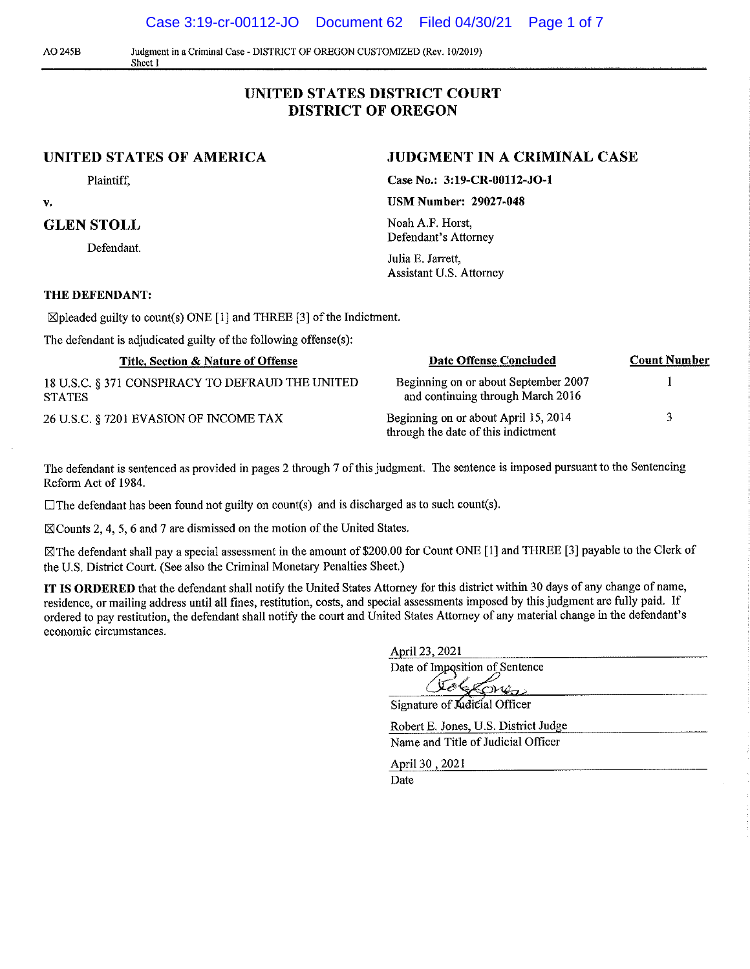Case 3:19-cr-00112-JO Document 62 Filed 04/30/21 Page 1 of 7

A0245B Judgment in a Criminal Case - DISTRICT OF OREGON CUSTOMIZED (Rev. I0/2019) **Sheet 1** 

## **UNITED STATES DISTRICT COURT DISTRICT OF OREGON**

### **UNITED STATES OF AMERICA**

Plaintiff,

**V,** 

#### **GLEN STOLL**

Defendant.

#### **THE DEFENDANT:**

 $\boxtimes$  pleaded guilty to count(s) ONE [1] and THREE [3] of the Indictment.

The defendant is adjudicated guilty of the following offense(s):

| Title, Section & Nature of Offense                                | Date Offense Concluded                                                      | <b>Count Number</b> |
|-------------------------------------------------------------------|-----------------------------------------------------------------------------|---------------------|
| 18 U.S.C. § 371 CONSPIRACY TO DEFRAUD THE UNITED<br><b>STATES</b> | Beginning on or about September 2007<br>and continuing through March 2016   |                     |
| 26 U.S.C. § 7201 EVASION OF INCOME TAX                            | Beginning on or about April 15, 2014<br>through the date of this indictment | વ                   |

The defendant is sentenced as provided in pages 2 through 7 of this judgment. The sentence is imposed pursuant to the Sentencing Reform Act of 1984.

 $\Box$  The defendant has been found not guilty on count(s) and is discharged as to such count(s).

 $\boxtimes$  Counts 2, 4, 5, 6 and 7 are dismissed on the motion of the United States.

 $\boxtimes$  The defendant shall pay a special assessment in the amount of \$200.00 for Count ONE [1] and THREE [3] payable to the Clerk of the U.S. District Court. (See also the Criminal Monetary Penalties Sheet.)

**IT IS ORDERED** that the defendant shall notify the United States Attorney for this district within 30 days of any change of name, residence, or mailing address until all fines, restitution, costs, and special assessments imposed by this judgment are fully paid. If ordered to pay restitution, the defendant shall notify the court and United States Attorney of any material change in the defendant's **economic circumstances.** 

| April 23, 2021                       |
|--------------------------------------|
| Date of Imposition of Sentence       |
|                                      |
| Signature of Audicial Officer        |
| Robert E. Jones, U.S. District Judge |
| Name and Title of Judicial Officer   |

April 30, 2021

Date

# **JUDGMENT IN A CRIMINAL CASE**

**Case No.: 3:19-CR-00112-JO-l** 

**USM Number: 29027-048** 

Noah A.F. Horst, Defendant's Attorney

Julia E. Jarrett, Assistant U.S. Attorney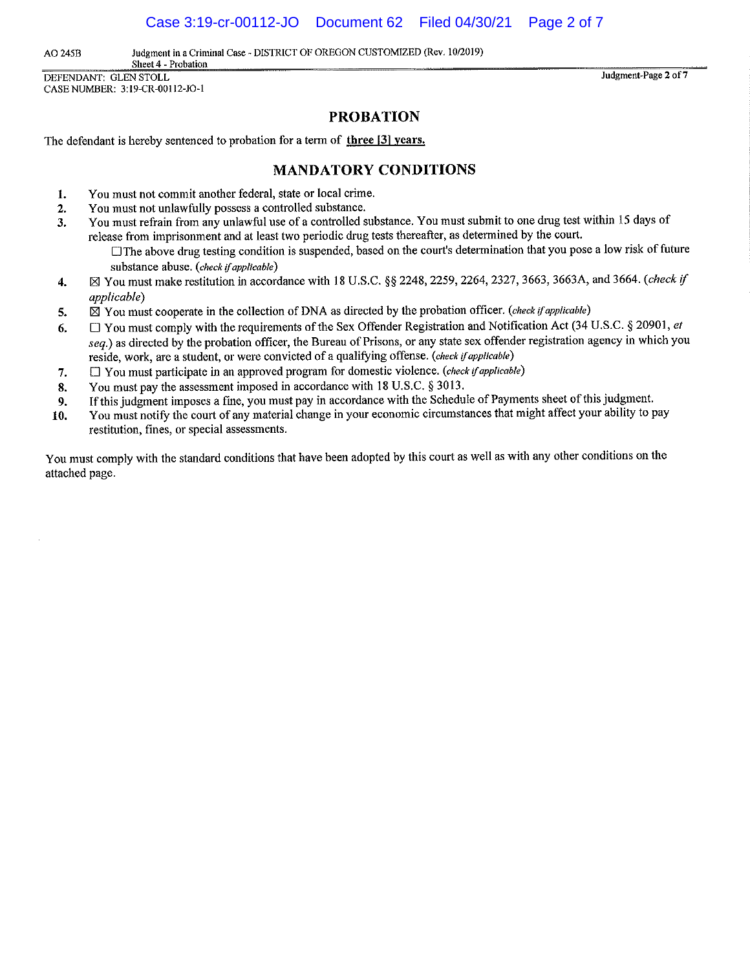Case 3:19-cr-00112-JO Document 62 Filed 04/30/21 Page 2 of 7

**AO 245B Judgment in a Criminal Case - DISTRICT OF OREGON CUSTOMIZED (Rev. 10/2019)** 

**Sheet 4 - Probation**  DEFENDANT: GLEN STOLL CASE NUMBER: 3:19-CR-00112-JO-1

**Judgment-Page 2 of7** 

### **PROBATION**

The defendant is hereby sentenced to probation for a term of **three 13) years.** 

#### **MANDATORY CONDITIONS**

- **1.** You must not commit another federal, state or local crime.
- **2.** You must not unlawfully possess a controlled substance.
- **3.** You must refrain from any unlawful use of a controlled substance. You must submit to one drug test within 15 days of release from imprisonment and at least two periodic drug tests thereafter, as determined by the court.
	- The above drug testing condition is suspended, based on the court's determination that you pose a low risk of future substance abuse. *(check* if *applicable)*
- **4.** 0 You must make restitution in accordance with 18 U.S.C. §§ 2248, 2259, 2264, 2327, 3663, 3663A, and 3664. *(check* if *applicable)*
- **5.** 0 You must cooperate in the collection of DNA as directed by the probation officer. *(check* if *applicable)*
- **6.** D You must comply with the requirements of the Sex Offender Registration and Notification Act (34 U.S.C. § 20901, *et seq.)* as directed by the probation officer, the Bureau of Prisons, or any state sex offender registration agency in which you reside, work, are a student, or were convicted of a qualifying offense. *(check* if *applicable)*
- 7. D You must participate in an approved program for domestic violence. *(check* if *applicable)*
- **8.** You must pay the assessment imposed in accordance with 18 U.S.C. § 3013.
- **9.** If this judgment imposes a fine, you must pay in accordance with the Schedule of Payments sheet of this judgment.
- **10.** You must notify the court of any material change in your economic circumstances that might affect your ability to pay **restitution, fines, or special assessments.**

You must comply with the standard conditions that have been adopted by this court as well as with any other conditions on the attached page.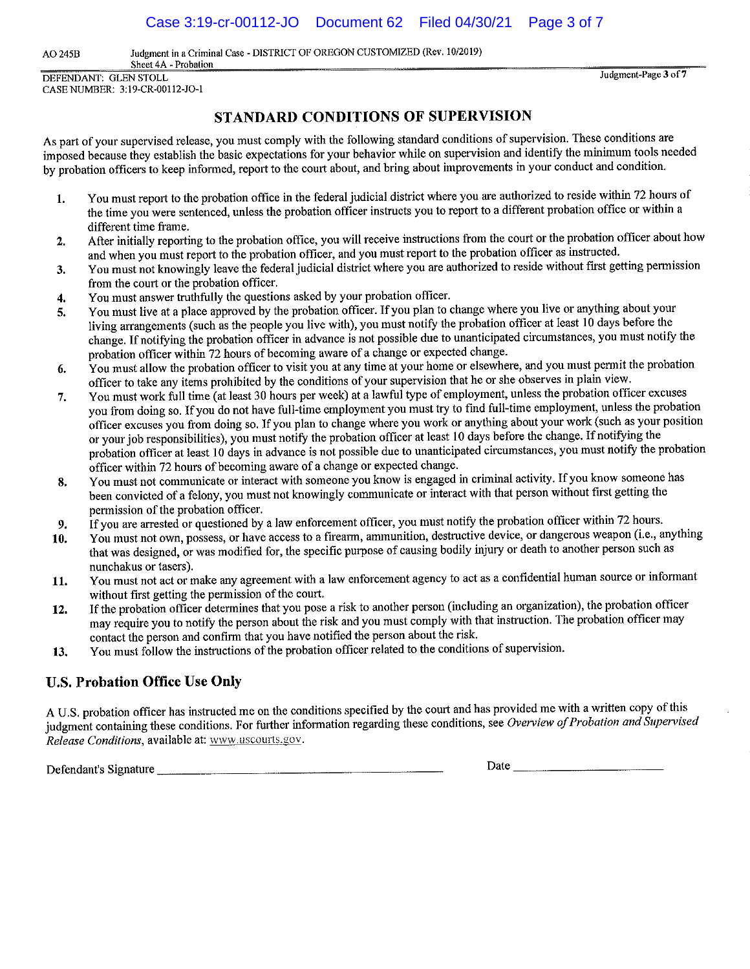AO 245B Judgment in a Criminal Case - DISTRICT OF OREGON CUSTOMIZED (Rev. 10/2019)

**Sheet 4A - Probation**  DEFENDANT: GLEN STOLL CASE NUMBER: 3:19-CR-00112-JO-l

**Judgment-Page 3 of7** 

## **STANDARD CONDITIONS OF SUPERVISION**

As part of your supervised release, you must comply with the following standard conditions of supervision. These conditions are imposed because they establish the basic expectations for your behavior while on supervision and identify the minimum tools needed by probation officers to keep informed, report to the court about, and bring about improvements in your conduct and condition.

- **1.** You must report to the probation office in the federal judicial district where you are authorized to reside within 72 hours of the time you were sentenced, unless the probation officer instructs you to report to a different probation office or within a different time frame.
- **2.** After initially reporting to the probation office, you will receive instructions from the court or the probation officer about how and when you must report to the probation officer, and you must report to the probation officer as instructed.
- **3.** You must not knowingly leave the federal judicial district where you are authorized to reside without first getting permission from the court or the probation officer.
- **4.** You must answer truthfully the questions asked by your probation officer.
- **5.** You must live at a place approved by the probation officer. If you plan to change where you live or anything about your living arrangements (such as the people you live with), you must notify the probation officer at least 10 days before the change. If notifying the probation officer in advance is not possible due to unanticipated circumstances, you must notify the probation officer within 72 hours of becoming aware of a change or expected change.
- **6.** You must allow the probation officer to visit you at any time at your home or elsewhere, and you must permit the probation officer to take any items prohibited by the conditions of your supervision that he or she observes in plain view.
- 7. You must work full time (at least 30 hours per week) at a lawful type of employment, unless the probation officer excuses you from doing so. If you do not have full-time employment you must try to find full-time employment, unless the probation officer excuses you from doing so. If you plan to change where you work or anything about your work (such as your position or your job responsibilities), you must notify the probation officer at least 10 days before the change. If notifying the probation officer at least IO days in advance is not possible due to unanticipated circumstances, you must notify the probation officer within 72 hours of becoming aware of a change or expected change.
- **8.** You must not communicate or interact with someone you know is engaged in criminal activity. If you know someone has been convicted of a felony, you must not knowingly communicate or interact with that person without first getting the permission of the probation officer.
- **9.** If you are arrested or questioned by a law enforcement officer, you must notify the probation officer within 72 hours.
- **10. You must not own, possess, or have access to a firearm, ammunition, destructive device, or dangerous weapon (i.e., anything**  that was designed, or was modified for, the specific purpose of causing bodily injury or death to another person such as nunchakus or tasers).
- **11.** You must not act or make any agreement with a law enforcement agency to act as a confidential human source or informant without first getting the permission of the court.
- **12.** If the probation officer determines that you pose a risk to another person (including an organization), the probation officer may require you to notify the person about the risk and you must comply with that instruction. The probation officer may contact the person and confinn that you have notified the person about the risk.
- **13.** You must follow the instructions of the probation officer related to the conditions of supervision.

# **U.S. Probation Office Use Only**

A U.S. probation officer has instructed me on the conditions specified by the court and has provided me with a written copy of this judgment containing these conditions. For further information regarding these conditions, see *Overview of Probation and Supervised Release Conditions, available at: www.uscourts.gov.* 

Defendant's Signature \_\_\_\_\_\_\_\_\_\_\_\_\_\_\_\_\_\_\_\_\_ \_ Date \_\_\_\_\_\_\_\_\_\_ \_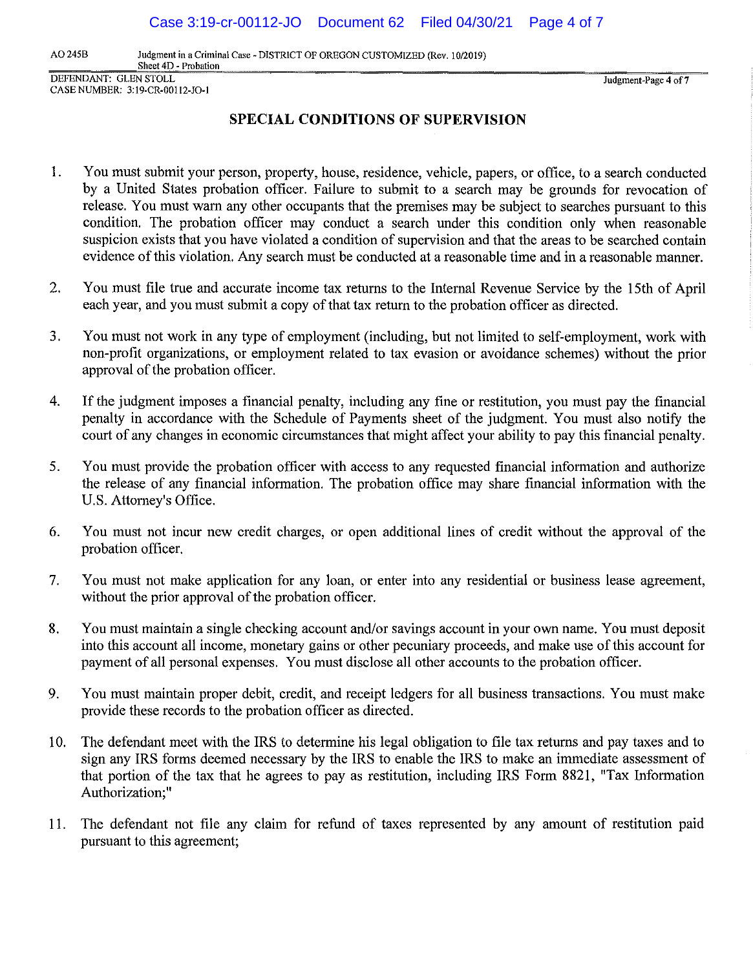AO 245B Judgment in a Criminal Case - DISTRICT OF OREGON CUSTOMIZED (Rev. 10/2019) **Sheet 4D - Probation** 

DEFENDANT: GLEN STOLL CASE NUMBER: 3:19-CR-00112-JO-1

Judgment-Page 4 of 7

# **SPECIAL CONDITIONS OF SUPERVISION**

- 1. You must submit your person, property, house, residence, vehicle, papers, or office, to a search conducted by a United States probation officer. Failure to submit to a search may be grounds for revocation of release. You must warn any other occupants that the premises may be subject to searches pursuant to this condition. The probation officer may conduct a search under this condition only when reasonable suspicion exists that you have violated a condition of supervision and that the areas to be searched contain evidence of this violation. Any search must be conducted at a reasonable time and in a reasonable manner.
- 2. You must file true and accurate income tax returns to the Internal Revenue Service by the 15th of April each year, and you must submit a copy of that tax return to the probation officer as directed.
- 3. You must not work in any type of employment (including, but not limited to self-employment, work with non-profit organizations, or employment related to tax evasion or avoidance schemes) without the prior approval of the probation officer.
- 4. If the judgment imposes a financial penalty, including any fine or restitution, you must pay the financial penalty in accordance with the Schedule of Payments sheet of the judgment. You must also notify the court of any changes in economic circumstances that might affect your ability to pay this financial penalty.
- 5. You must provide the probation officer with access to any requested financial information and authorize the release of any financial information. The probation office may share financial information with the U.S. Attorney's Office.
- 6. You must not incur new credit charges, or open additional lines of credit without the approval of the probation officer.
- 7. You must not make application for any loan, or enter into any residential or business lease agreement, without the prior approval of the probation officer.
- 8. You must maintain a single checking account and/or savings account in your own name. You must deposit into this account all income, monetary gains or other pecuniary proceeds, and make use of this account for payment of all personal expenses. You must disclose all other accounts to the probation officer.
- 9. You must maintain proper debit, credit, and receipt ledgers for all business transactions. You must make provide these records to the probation officer as directed.
- 10. The defendant meet with the IRS to determine his legal obligation to file tax returns and pay taxes and to sign any IRS forms deemed necessary by the IRS to enable the IRS to make an immediate assessment of that portion of the tax that he agrees to pay as restitution, including IRS Form 8821, "Tax Information Authorization;"
- 11. The defendant not file any claim for refund of taxes represented by any amount of restitution paid pursuant to this agreement;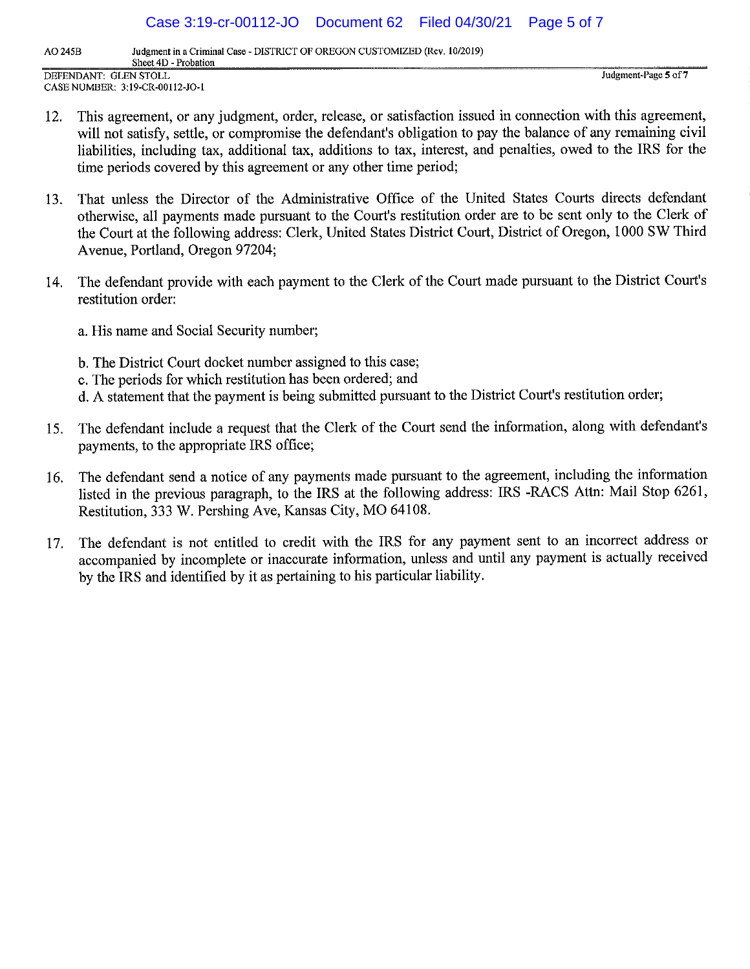Case 3:19-cr-00112-JO Document 62 Filed 04/30/21 Page 5 of 7

**AO 245B Judgment in a Criminal Case - DISTRICT OF OREGON CUSTOMIZED (Rev. 10/2019) Sheet 4D - Probation** 

DEFENDANT: GLEN STOLL CASE NUMBER: 3:19-CR-00ll2-JO-l **Judgment-Page 5 of7** 

- 12. This agreement, or any judgment, order, release, or satisfaction issued in connection with this agreement, will not satisfy, settle, or compromise the defendant's obligation to pay the balance of any remaining civil liabilities, including tax, additional tax, additions to tax, interest, and penalties, owed to the IRS for the time periods covered by this agreement or any other time period;
- 13. That unless the Director of the Administrative Office of the United States Courts directs defendant otherwise, all payments made pursuant to the Court's restitution order are to be sent only to the Clerk of the Court at the following address: Clerk, United States District Court, District of Oregon, 1000 SW Third Avenue, Portland, Oregon 97204;
- 14. The defendant provide with each payment to the Clerk of the Court made pursuant to the District Court's restitution order:

a. His name and Social Security number;

- b. The District Court docket number assigned to this case;
- c. The periods for which restitution has been ordered; and
- d. A statement that the payment is being submitted pursuant to the District Court's restitution order;
- 15. The defendant include a request that the Clerk of the Court send the information, along with defendant's payments, to the appropriate IRS office;
- 16. The defendant send a notice of any payments made pursuant to the agreement, including the information listed in the previous paragraph, to the IRS at the following address: IRS -RACS Attn: Mail Stop 6261, Restitution, 333 W. Pershing Ave, Kansas City, MO 64108.
- 17. The defendant is not entitled to credit with the IRS for any payment sent to an incorrect address or accompanied by incomplete or inaccurate information, unless and until any payment is actually received by the IRS and identified by it as pertaining to his particular liability.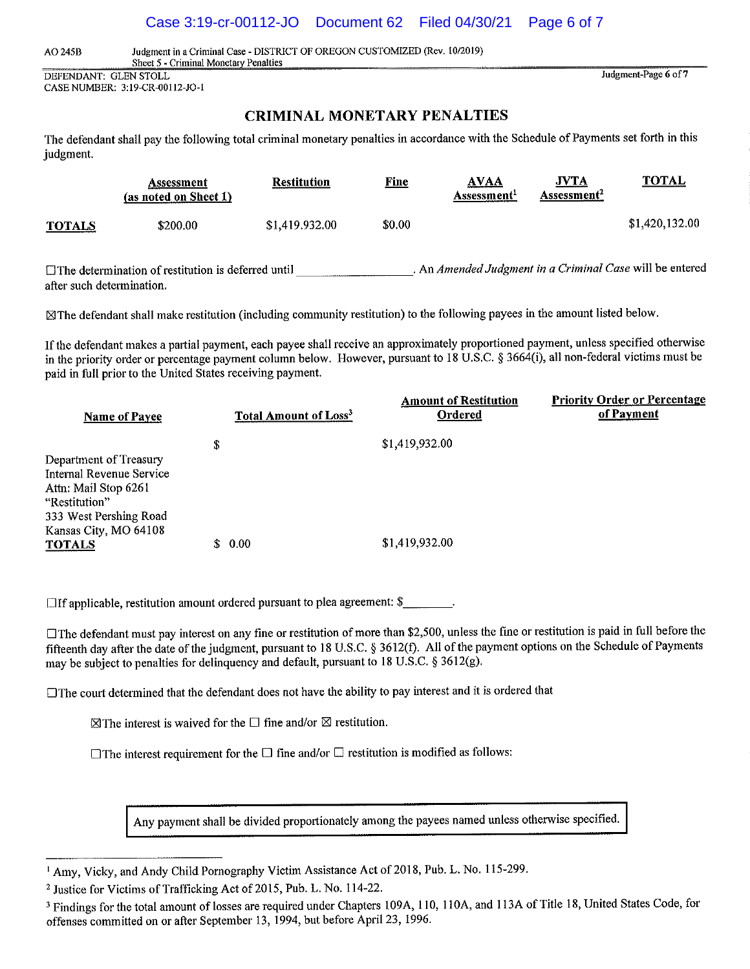#### Case 3:19-cr-00112-JO Document 62 Filed 04/30/21 Page 6 of 7

AO 245B Judgment in a Criminal Case - DISTRICT OF OREGON CUSTOMIZED (Rev. 10/2019)

Sheet *5* - Criminal Monetary Penalties DEFENDANT: GLEN STOLL

CASE NUMBER: 3:19-CR-00112-JO-1

### **CRIMINAL MONETARY PENALTIES**

Judgment-Page **6** of7

The defendant shall pay the following total criminal monetary penalties in accordance with the Schedule of Payments set forth in this judgment.

|               | Assessment<br>(as noted on Sheet 1) | <b>Restitution</b> | <u>Fine</u> | <b>AVAA</b><br>Assessment <sup>1</sup> | <b>JVTA</b><br>Assessment <sup>2</sup> | <b>TOTAL</b>   |
|---------------|-------------------------------------|--------------------|-------------|----------------------------------------|----------------------------------------|----------------|
| <b>TOTALS</b> | \$200.00                            | \$1,419,932.00     | \$0.00      |                                        |                                        | \$1,420,132.00 |

□The determination of restitution is deferred until <br>An *Amended Judgment in a Criminal Case* will be entered after such determination.

~The defendant shall make restitution (including community restitution) to the following payees in the amount listed below.

If the defendant makes a partial payment, each payee shall receive an approximately proportioned payment, unless specified otherwise in the priority order or percentage payment column below. However, pursuant to 18 U.S.C. § 3664(i), all non-federal victims must be paid in full prior to the United States receiving payment.

| Name of Payee                                                                                                                                  | <b>Total Amount of Loss<sup>3</sup></b> | <b>Amount of Restitution</b><br>Ordered | <b>Priority Order or Percentage</b><br>of Payment |
|------------------------------------------------------------------------------------------------------------------------------------------------|-----------------------------------------|-----------------------------------------|---------------------------------------------------|
|                                                                                                                                                | \$                                      | \$1,419,932.00                          |                                                   |
| Department of Treasury<br>Internal Revenue Service<br>Attn: Mail Stop 6261<br>"Restitution"<br>333 West Pershing Road<br>Kansas City, MO 64108 |                                         |                                         |                                                   |
| TOTALS                                                                                                                                         | 0.00                                    | \$1,419,932.00                          |                                                   |

 $\Box$  If applicable, restitution amount ordered pursuant to plea agreement: \$

The defendant must pay interest on any fine or restitution of more than \$2,500, unless the fine or restitution is paid in full before the fifteenth day after the date of the judgment, pursuant to 18 U.S.C. § 3612(f). All of the payment options on the Schedule of Payments may be subject to penalties for delinquency and default, pursuant to 18 U.S.C. § 3612(g).

 $\Box$  The court determined that the defendant does not have the ability to pay interest and it is ordered that

 $\boxtimes$  The interest is waived for the  $\Box$  fine and/or  $\boxtimes$  restitution.

 $\Box$  The interest requirement for the  $\Box$  fine and/or  $\Box$  restitution is modified as follows:

Any payment shall be divided proportionately among the payees named unless otherwise specified.

<sup>1</sup> Amy, Vicky, and Andy Child Pornography Victim Assistance Act of 2018, Pub. L. No. 115-299.

<sup>2</sup> Justice for Victims of Trafficking Act of 2015, Pub. L. No. 114-22.

<sup>&</sup>lt;sup>3</sup> Findings for the total amount of losses are required under Chapters 109A, 110, 110A, and 113A of Title 18, United States Code, for offenses committed on or after September 13, 1994, but before April 23, 1996.